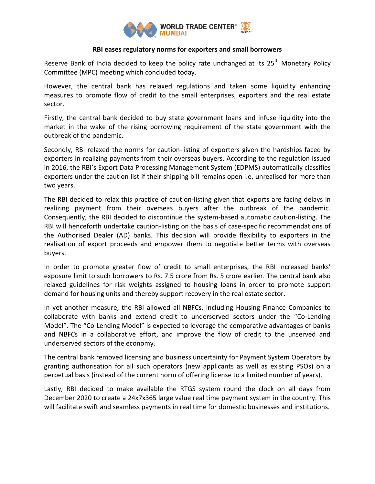

## **RBI eases regulatory norms for exporters and small borrowers**

Reserve Bank of India decided to keep the policy rate unchanged at its 25<sup>th</sup> Monetary Policy Committee (MPC) meeting which concluded today.

However, the central bank has relaxed regulations and taken some liquidity enhancing measures to promote flow of credit to the small enterprises, exporters and the real estate sector.

Firstly, the central bank decided to buy state government loans and infuse liquidity into the market in the wake of the rising borrowing requirement of the state government with the outbreak of the pandemic.

Secondly, RBI relaxed the norms for caution-listing of exporters given the hardships faced by exporters in realizing payments from their overseas buyers. According to the regulation issued in 2016, the RBI's Export Data Processing Management System (EDPMS) automatically classifies exporters under the caution list if their shipping bill remains open i.e. unrealised for more than two years.

The RBI decided to relax this practice of caution-listing given that exports are facing delays in realizing payment from their overseas buyers after the outbreak of the pandemic. Consequently, the RBI decided to discontinue the system-based automatic caution-listing. The RBI will henceforth undertake caution-listing on the basis of case-specific recommendations of the Authorised Dealer (AD) banks. This decision will provide flexibility to exporters in the realisation of export proceeds and empower them to negotiate better terms with overseas buyers.

In order to promote greater flow of credit to small enterprises, the RBI increased banks' exposure limit to such borrowers to Rs. 7.5 crore from Rs. 5 crore earlier. The central bank also relaxed guidelines for risk weights assigned to housing loans in order to promote support demand for housing units and thereby support recovery in the real estate sector.

In yet another measure, the RBI allowed all NBFCs, including Housing Finance Companies to collaborate with banks and extend credit to underserved sectors under the "Co-Lending Model". The "Co-Lending Model" is expected to leverage the comparative advantages of banks and NBFCs in a collaborative effort, and improve the flow of credit to the unserved and underserved sectors of the economy.

The central bank removed licensing and business uncertainty for Payment System Operators by granting authorisation for all such operators (new applicants as well as existing PSOs) on a perpetual basis (instead of the current norm of offering license to a limited number of years).

Lastly, RBI decided to make available the RTGS system round the clock on all days from December 2020 to create a 24x7x365 large value real time payment system in the country. This will facilitate swift and seamless payments in real time for domestic businesses and institutions.